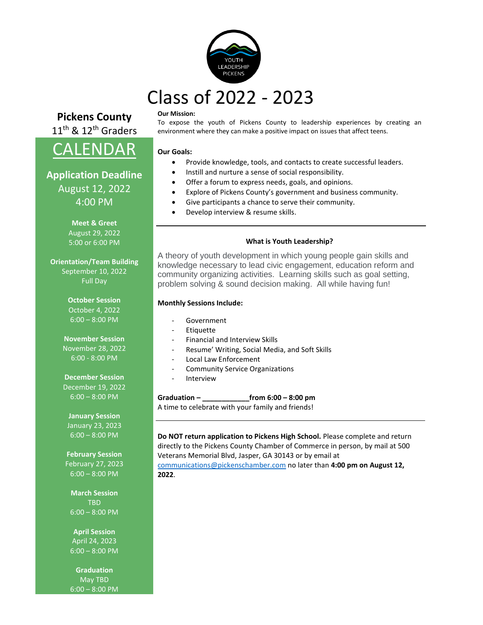

# Class of 2022 - 2023

# **Pickens County** 11<sup>th</sup> & 12<sup>th</sup> Graders

CALENDAR

**Application Deadline** August 12, 2022 4:00 PM

> **Meet & Greet** August 29, 2022 5:00 or 6:00 PM

**Orientation/Team Building** September 10, 2022 Full Day

> **October Session** October 4, 2022 6:00 – 8:00 PM

#### **Our Mission:**

To expose the youth of Pickens County to leadership experiences by creating an environment where they can make a positive impact on issues that affect teens.

#### **Our Goals:**

- Provide knowledge, tools, and contacts to create successful leaders.
- Instill and nurture a sense of social responsibility.
- Offer a forum to express needs, goals, and opinions.
- Explore of Pickens County's government and business community.
- Give participants a chance to serve their community.
- Develop interview & resume skills.

#### **What is Youth Leadership?**

A theory of youth development in which young people gain skills and knowledge necessary to lead civic engagement, education reform and community organizing activities. Learning skills such as goal setting, problem solving & sound decision making. All while having fun!

#### **Monthly Sessions Include:**

- **Government**
- **Etiquette**
- Financial and Interview Skills
- Resume' Writing, Social Media, and Soft Skills
- Local Law Enforcement
- Community Service Organizations
- **Interview**

#### **Graduation – \_\_\_\_\_\_\_\_\_\_\_\_from 6:00 – 8:00 pm**

A time to celebrate with your family and friends!

**Do NOT return application to Pickens High School.** Please complete and return directly to the Pickens County Chamber of Commerce in person, by mail at 500 Veterans Memorial Blvd, Jasper, GA 30143 or by email at [communications@pickenschamber.com](mailto:communications@pickenschamber.com) no later than **4:00 pm on August 12, 2022**.

**November Session** November 28, 2022 6:00 - 8:00 PM

> **December Session** December 19, 2022 6:00 – 8:00 PM

**January Session** January 23, 2023 6:00 – 8:00 PM

**February Session** February 27, 2023 6:00 – 8:00 PM

**March Session TRD** 6:00 – 8:00 PM

**April Session** April 24, 2023  $6:00 - 8:00$  PM

**Graduation** May TBD 6:00 – 8:00 PM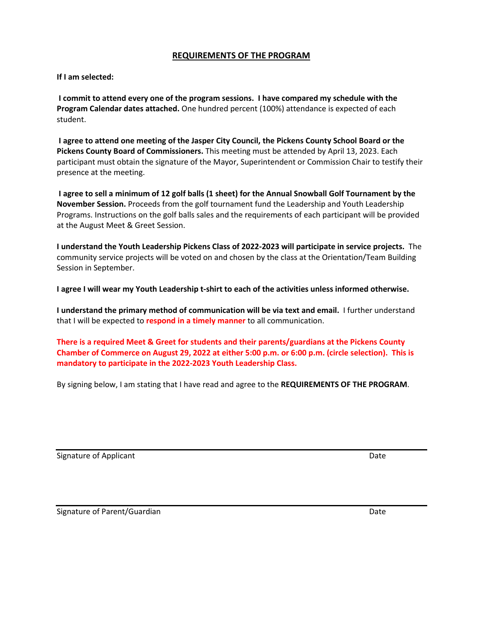# **REQUIREMENTS OF THE PROGRAM**

#### **If I am selected:**

**I commit to attend every one of the program sessions. I have compared my schedule with the Program Calendar dates attached.** One hundred percent (100%) attendance is expected of each student.

**I agree to attend one meeting of the Jasper City Council, the Pickens County School Board or the Pickens County Board of Commissioners.** This meeting must be attended by April 13, 2023. Each participant must obtain the signature of the Mayor, Superintendent or Commission Chair to testify their presence at the meeting.

**I agree to sell a minimum of 12 golf balls (1 sheet) for the Annual Snowball Golf Tournament by the November Session.** Proceeds from the golf tournament fund the Leadership and Youth Leadership Programs. Instructions on the golf balls sales and the requirements of each participant will be provided at the August Meet & Greet Session.

**I understand the Youth Leadership Pickens Class of 2022-2023 will participate in service projects.** The community service projects will be voted on and chosen by the class at the Orientation/Team Building Session in September.

**I agree I will wear my Youth Leadership t-shirt to each of the activities unless informed otherwise.** 

**I understand the primary method of communication will be via text and email.** I further understand that I will be expected to **respond in a timely manner** to all communication.

**There is a required Meet & Greet for students and their parents/guardians at the Pickens County Chamber of Commerce on August 29, 2022 at either 5:00 p.m. or 6:00 p.m. (circle selection). This is mandatory to participate in the 2022-2023 Youth Leadership Class.**

By signing below, I am stating that I have read and agree to the **REQUIREMENTS OF THE PROGRAM**.

Signature of Applicant Date of Applicant Date of Applicant Date of Applicant Date of Applicant Date of Applicant Date of Applicant Date of Applicant Date of Applicant Date of Applicant Date of Applicant Date of Applicant D

Signature of Parent/Guardian **Date** Date of Parent/Guardian Date Date of Parent Date of Parent Date of Parent Date of Parent Date of Parent Date of Parent Date of Parent Date of Parent Date of Parent Date of Parent Date of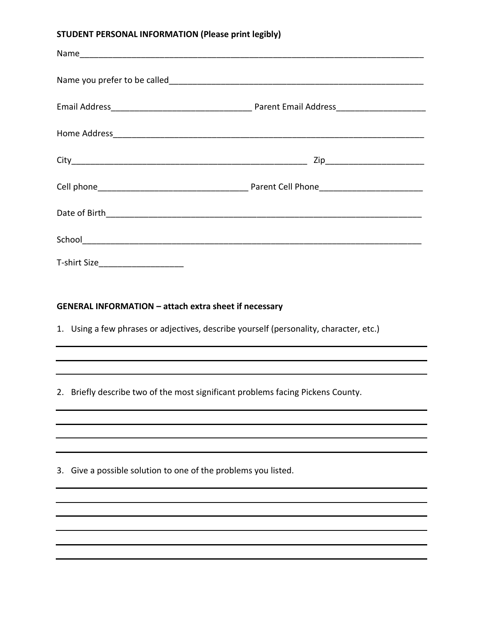# **STUDENT PERSONAL INFORMATION (Please print legibly)**

| T-shirt Size_______________________ |  |
|-------------------------------------|--|

# **GENERAL INFORMATION – attach extra sheet if necessary**

1. Using a few phrases or adjectives, describe yourself (personality, character, etc.)

2. Briefly describe two of the most significant problems facing Pickens County.

3. Give a possible solution to one of the problems you listed.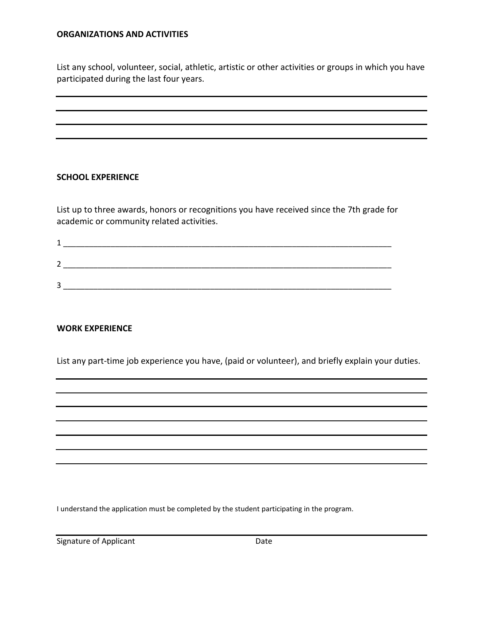# **ORGANIZATIONS AND ACTIVITIES**

List any school, volunteer, social, athletic, artistic or other activities or groups in which you have participated during the last four years.

#### **SCHOOL EXPERIENCE**

List up to three awards, honors or recognitions you have received since the 7th grade for academic or community related activities.

| ∽ |  |  |  |
|---|--|--|--|

# **WORK EXPERIENCE**

List any part-time job experience you have, (paid or volunteer), and briefly explain your duties.

I understand the application must be completed by the student participating in the program.

Signature of Applicant Date